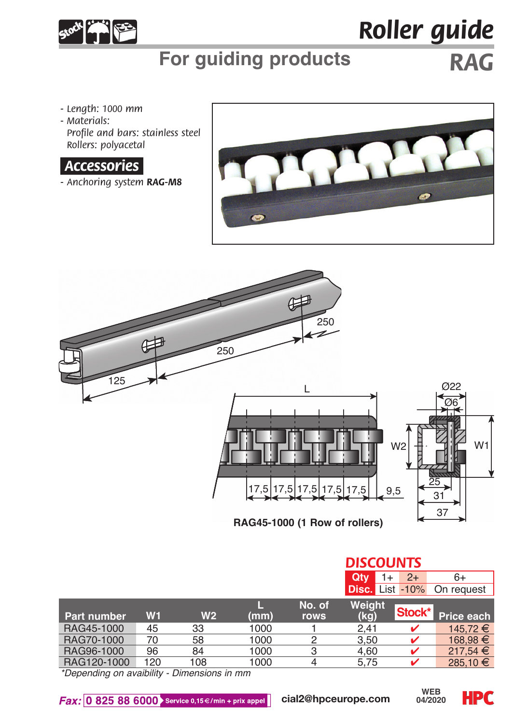

# *Roller guide*

# **For guiding products** *RAG*

- *Length: 1000 mm*
- *Materials: Profile and bars: stainless steel Rollers: polyacetal*

### *.Accessories.*

*- Anchoring system RAG-M8*





|                |                |      |        | <b>DISCOUNTS</b> |      |                                        |  |
|----------------|----------------|------|--------|------------------|------|----------------------------------------|--|
|                |                |      |        | Qtv              | $2+$ | $6+$                                   |  |
|                |                |      |        |                  |      | On request                             |  |
|                |                |      | No. of | Weight           |      |                                        |  |
| W <sub>1</sub> | W <sub>2</sub> | (mm) | rows   | (kg)             |      | Price each                             |  |
| 45             | 33             | 1000 |        | 2.41             |      | 145.72 €                               |  |
| 70             | 58             | 1000 | 2      | 3.50             |      | 168.98 €                               |  |
| 96             | 84             | 1000 |        | 4.60             |      | 217.54 €                               |  |
| 120            | 108            | 1000 |        | 5.75             |      | $285.10 \in$                           |  |
|                | -- ---         |      |        |                  |      | 1+<br><b>Disc.</b> List -10%<br>Stock* |  |

*\*Depending on avaibility - Dimensions in mm*